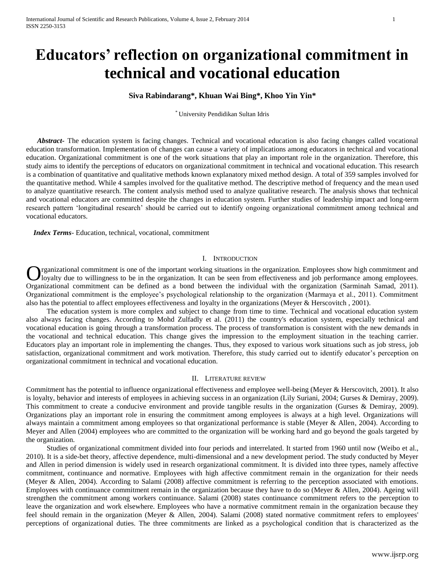# **Educators' reflection on organizational commitment in technical and vocational education**

# **Siva Rabindarang\*, Khuan Wai Bing\*, Khoo Yin Yin\***

\* University Pendidikan Sultan Idris

 *Abstract***-** The education system is facing changes. Technical and vocational education is also facing changes called vocational education transformation. Implementation of changes can cause a variety of implications among educators in technical and vocational education. Organizational commitment is one of the work situations that play an important role in the organization. Therefore, this study aims to identify the perceptions of educators on organizational commitment in technical and vocational education. This research is a combination of quantitative and qualitative methods known explanatory mixed method design. A total of 359 samples involved for the quantitative method. While 4 samples involved for the qualitative method. The descriptive method of frequency and the mean used to analyze quantitative research. The content analysis method used to analyze qualitative research. The analysis shows that technical and vocational educators are committed despite the changes in education system. Further studies of leadership impact and long-term research pattern 'longitudinal research' should be carried out to identify ongoing organizational commitment among technical and vocational educators.

 *Index Terms*- Education, technical, vocational, commitment

## I. INTRODUCTION

rganizational commitment is one of the important working situations in the organization. Employees show high commitment and I loyalty due to willingness to be in the organization. It can be seen from effectiveness and job performance among employees. **O**rganizational commitment is one of the important working situations in the organization. Employees show high commitment and loyalty due to willingness to be in the organization. It can be seen from effectiveness and job Organizational commitment is the employee's psychological relationship to the organization (Marmaya et al., 2011). Commitment also has the potential to affect employees effectiveness and loyalty in the organizations (Meyer & Herscovitch , 2001).

The education system is more complex and subject to change from time to time. Technical and vocational education system also always facing changes. According to Mohd Zulfadly et al. (2011) the country's education system, especially technical and vocational education is going through a transformation process. The process of transformation is consistent with the new demands in the vocational and technical education. This change gives the impression to the employment situation in the teaching carrier. Educators play an important role in implementing the changes. Thus, they exposed to various work situations such as job stress, job satisfaction, organizational commitment and work motivation. Therefore, this study carried out to identify educator's perception on organizational commitment in technical and vocational education.

### II. LITERATURE REVIEW

Commitment has the potential to influence organizational effectiveness and employee well-being (Meyer & Herscovitch, 2001). It also is loyalty, behavior and interests of employees in achieving success in an organization (Lily Suriani, 2004; Gurses & Demiray, 2009). This commitment to create a conducive environment and provide tangible results in the organization (Gurses & Demiray, 2009). Organizations play an important role in ensuring the commitment among employees is always at a high level. Organizations will always maintain a commitment among employees so that organizational performance is stable (Meyer & Allen, 2004). According to Meyer and Allen (2004) employees who are committed to the organization will be working hard and go beyond the goals targeted by the organization.

Studies of organizational commitment divided into four periods and interrelated. It started from 1960 until now (Weibo et al., 2010). It is a side-bet theory, affective dependence, multi-dimensional and a new development period. The study conducted by Meyer and Allen in period dimension is widely used in research organizational commitment. It is divided into three types, namely affective commitment, continuance and normative. Employees with high affective commitment remain in the organization for their needs (Meyer & Allen, 2004). According to Salami (2008) affective commitment is referring to the perception associated with emotions. Employees with continuance commitment remain in the organization because they have to do so (Meyer & Allen, 2004). Ageing will strengthen the commitment among workers continuance. Salami (2008) states continuance commitment refers to the perception to leave the organization and work elsewhere. Employees who have a normative commitment remain in the organization because they feel should remain in the organization (Meyer & Allen, 2004). Salami (2008) stated normative commitment refers to employees' perceptions of organizational duties. The three commitments are linked as a psychological condition that is characterized as the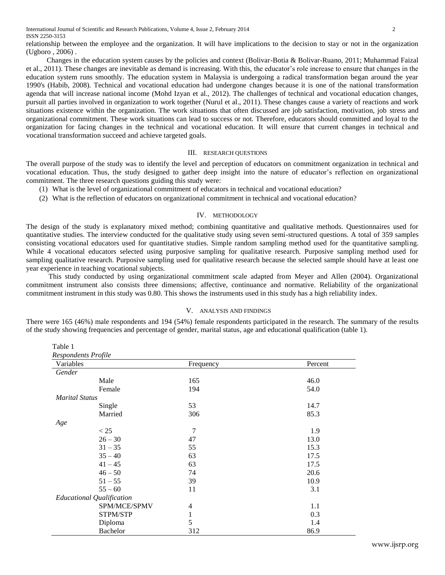Table 1

relationship between the employee and the organization. It will have implications to the decision to stay or not in the organization (Ugboro , 2006) .

Changes in the education system causes by the policies and context (Bolivar-Botia & Bolivar-Ruano, 2011; Muhammad Faizal et al., 2011). These changes are inevitable as demand is increasing. With this, the educator's role increase to ensure that changes in the education system runs smoothly. The education system in Malaysia is undergoing a radical transformation began around the year 1990's (Habib, 2008). Technical and vocational education had undergone changes because it is one of the national transformation agenda that will increase national income (Mohd Izyan et al., 2012). The challenges of technical and vocational education changes, pursuit all parties involved in organization to work together (Nurul et al., 2011). These changes cause a variety of reactions and work situations existence within the organization. The work situations that often discussed are job satisfaction, motivation, job stress and organizational commitment. These work situations can lead to success or not. Therefore, educators should committed and loyal to the organization for facing changes in the technical and vocational education. It will ensure that current changes in technical and vocational transformation succeed and achieve targeted goals.

## III. RESEARCH QUESTIONS

The overall purpose of the study was to identify the level and perception of educators on commitment organization in technical and vocational education. Thus, the study designed to gather deep insight into the nature of educator's reflection on organizational commitment. The three research questions guiding this study were:

- (1) What is the level of organizational commitment of educators in technical and vocational education?
- (2) What is the reflection of educators on organizational commitment in technical and vocational education?

## IV. METHODOLOGY

The design of the study is explanatory mixed method; combining quantitative and qualitative methods. Questionnaires used for quantitative studies. The interview conducted for the qualitative study using seven semi-structured questions. A total of 359 samples consisting vocational educators used for quantitative studies. Simple random sampling method used for the quantitative sampling. While 4 vocational educators selected using purposive sampling for qualitative research. Purposive sampling method used for sampling qualitative research. Purposive sampling used for qualitative research because the selected sample should have at least one year experience in teaching vocational subjects.

This study conducted by using organizational commitment scale adapted from Meyer and Allen (2004). Organizational commitment instrument also consists three dimensions; affective, continuance and normative. Reliability of the organizational commitment instrument in this study was 0.80. This shows the instruments used in this study has a high reliability index.

## V. ANALYSIS AND FINDINGS

There were 165 (46%) male respondents and 194 (54%) female respondents participated in the research. The summary of the results of the study showing frequencies and percentage of gender, marital status, age and educational qualification (table 1).

| Respondents Profile              |                |         |  |  |
|----------------------------------|----------------|---------|--|--|
| Variables                        | Frequency      | Percent |  |  |
| Gender                           |                |         |  |  |
| Male                             | 165            | 46.0    |  |  |
| Female                           | 194            | 54.0    |  |  |
| <b>Marital Status</b>            |                |         |  |  |
| Single                           | 53             | 14.7    |  |  |
| Married                          | 306            | 85.3    |  |  |
| Age                              |                |         |  |  |
| < 25                             | $\overline{7}$ | 1.9     |  |  |
| $26 - 30$                        | 47             | 13.0    |  |  |
| $31 - 35$                        | 55             | 15.3    |  |  |
| $35 - 40$                        | 63             | 17.5    |  |  |
| $41 - 45$                        | 63             | 17.5    |  |  |
| $46 - 50$                        | 74             | 20.6    |  |  |
| $51 - 55$                        | 39             | 10.9    |  |  |
| $55 - 60$                        | 11             | 3.1     |  |  |
| <b>Educational Qualification</b> |                |         |  |  |
| SPM/MCE/SPMV                     | 4              | 1.1     |  |  |
| STPM/STP                         | $\mathbf{1}$   | 0.3     |  |  |
| Diploma                          | 5              | 1.4     |  |  |
| <b>Bachelor</b>                  | 312            | 86.9    |  |  |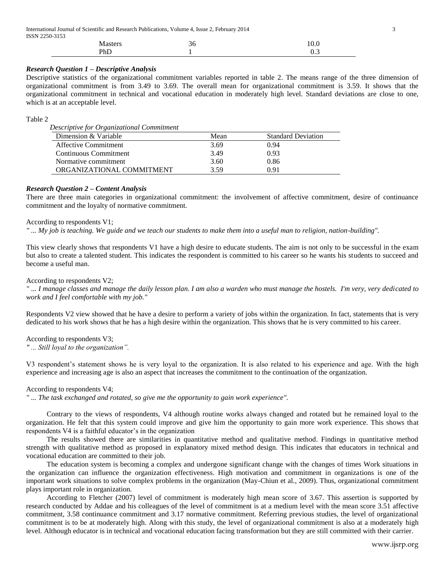| International Journal of Scientific and Research Publications, Volume 4, Issue 2, February 2014 |    |      |  |  |
|-------------------------------------------------------------------------------------------------|----|------|--|--|
| ISSN 2250-3153                                                                                  |    |      |  |  |
| <b>Masters</b>                                                                                  | 36 | 10.0 |  |  |

1

## *Research Question 1 – Descriptive Analysis*

PhD

Descriptive statistics of the organizational commitment variables reported in table 2. The means range of the three dimension of organizational commitment is from 3.49 to 3.69. The overall mean for organizational commitment is 3.59. It shows that the organizational commitment in technical and vocational education in moderately high level. Standard deviations are close to one, which is at an acceptable level.

## Table 2

*Descriptive for Organizational Commitment*

| Dimension & Variable        | Mean | <b>Standard Deviation</b> |
|-----------------------------|------|---------------------------|
| <b>Affective Commitment</b> | 3.69 | 0.94                      |
| Continuous Commitment       | 3.49 | 0.93                      |
| Normative commitment        | 3.60 | 0.86                      |
| ORGANIZATIONAL COMMITMENT   | 3.59 | 0.91                      |

## *Research Question 2 – Content Analysis*

There are three main categories in organizational commitment: the involvement of affective commitment, desire of continuance commitment and the loyalty of normative commitment.

## According to respondents V1;

*" ... My job is teaching. We guide and we teach our students to make them into a useful man to religion, nation-building".*

This view clearly shows that respondents V1 have a high desire to educate students. The aim is not only to be successful in the exam but also to create a talented student. This indicates the respondent is committed to his career so he wants his students to succeed and become a useful man.

## According to respondents V2;

*" ... I manage classes and manage the daily lesson plan. I am also a warden who must manage the hostels. I'm very, very dedicated to work and I feel comfortable with my job."*

Respondents V2 view showed that he have a desire to perform a variety of jobs within the organization. In fact, statements that is very dedicated to his work shows that he has a high desire within the organization. This shows that he is very committed to his career.

According to respondents V3; *" ... Still loyal to the organization".*

V3 respondent's statement shows he is very loyal to the organization. It is also related to his experience and age. With the high experience and increasing age is also an aspect that increases the commitment to the continuation of the organization.

## According to respondents V4;

*" ... The task exchanged and rotated, so give me the opportunity to gain work experience".*

Contrary to the views of respondents, V4 although routine works always changed and rotated but he remained loyal to the organization. He felt that this system could improve and give him the opportunity to gain more work experience. This shows that respondents V4 is a faithful educator's in the organization

The results showed there are similarities in quantitative method and qualitative method. Findings in quantitative method strength with qualitative method as proposed in explanatory mixed method design. This indicates that educators in technical and vocational education are committed to their job.

The education system is becoming a complex and undergone significant change with the changes of times Work situations in the organization can influence the organization effectiveness. High motivation and commitment in organizations is one of the important work situations to solve complex problems in the organization (May-Chiun et al., 2009). Thus, organizational commitment plays important role in organization.

According to Fletcher (2007) level of commitment is moderately high mean score of 3.67. This assertion is supported by research conducted by Addae and his colleagues of the level of commitment is at a medium level with the mean score 3.51 affective commitment, 3.58 continuance commitment and 3.17 normative commitment. Referring previous studies, the level of organizational commitment is to be at moderately high. Along with this study, the level of organizational commitment is also at a moderately high level. Although educator is in technical and vocational education facing transformation but they are still committed with their carrier.

0.3